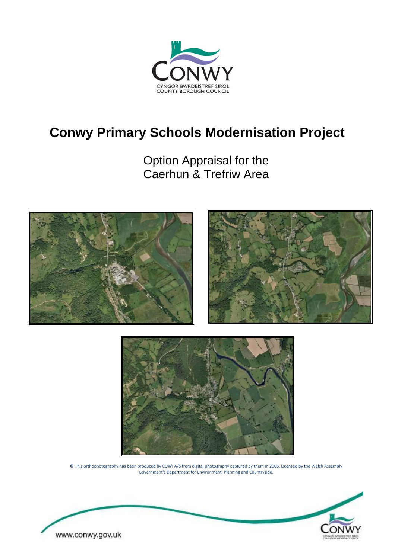

# <span id="page-0-0"></span>**Conwy Primary Schools Modernisation Project**

Option Appraisal for the Caerhun & Trefriw Area





© This orthophotography has been produced by COWI A/S from digital photography captured by them in 2006. Licensed by the Welsh Assembly Government's Department for Environment, Planning and Countryside.

<span id="page-0-1"></span>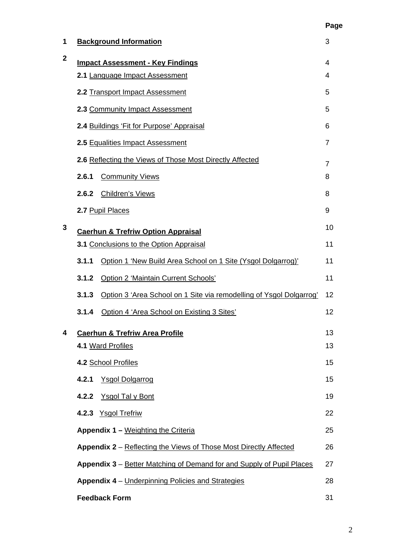<span id="page-1-0"></span>

| 1            |                            | <b>Background Information</b>                                             | 3              |  |  |  |  |  |
|--------------|----------------------------|---------------------------------------------------------------------------|----------------|--|--|--|--|--|
| $\mathbf{2}$ |                            | <b>Impact Assessment - Key Findings</b><br>2.1 Language Impact Assessment | 4<br>4         |  |  |  |  |  |
|              |                            | 2.2 Transport Impact Assessment                                           | 5              |  |  |  |  |  |
|              |                            | 2.3 Community Impact Assessment                                           | 5              |  |  |  |  |  |
|              |                            | 2.4 Buildings 'Fit for Purpose' Appraisal                                 | 6              |  |  |  |  |  |
|              |                            | 2.5 Equalities Impact Assessment                                          | $\overline{7}$ |  |  |  |  |  |
|              |                            | 2.6 Reflecting the Views of Those Most Directly Affected                  | $\overline{7}$ |  |  |  |  |  |
|              | 2.6.1                      | <b>Community Views</b>                                                    | 8              |  |  |  |  |  |
|              | 2.6.2                      | <b>Children's Views</b>                                                   | 8              |  |  |  |  |  |
|              |                            | 2.7 Pupil Places                                                          | 9              |  |  |  |  |  |
| 3            |                            | <b>Caerhun &amp; Trefriw Option Appraisal</b>                             | 10             |  |  |  |  |  |
|              |                            | 3.1 Conclusions to the Option Appraisal                                   | 11             |  |  |  |  |  |
|              | 3.1.1                      | Option 1 'New Build Area School on 1 Site (Ysgol Dolgarrog)'              | 11             |  |  |  |  |  |
|              | 3.1.2                      | Option 2 'Maintain Current Schools'                                       | 11             |  |  |  |  |  |
|              | 3.1.3                      | Option 3 'Area School on 1 Site via remodelling of Ysgol Dolgarrog'       | 12             |  |  |  |  |  |
|              | 3.1.4                      | Option 4 'Area School on Existing 3 Sites'                                | 12             |  |  |  |  |  |
| 4            |                            | <b>Caerhun &amp; Trefriw Area Profile</b>                                 | 13             |  |  |  |  |  |
|              |                            | 4.1 Ward Profiles                                                         | 13             |  |  |  |  |  |
|              |                            | 4.2 School Profiles                                                       | 15             |  |  |  |  |  |
|              | 4.2.1                      | <b>Ysgol Dolgarrog</b>                                                    | 15             |  |  |  |  |  |
|              | 4.2.2                      | <b>Ysgol Tal y Bont</b>                                                   | 19             |  |  |  |  |  |
|              |                            | 4.2.3 Ysgol Trefriw                                                       | 22             |  |  |  |  |  |
|              |                            | Appendix 1 - Weighting the Criteria                                       | 25             |  |  |  |  |  |
|              |                            | Appendix 2 – Reflecting the Views of Those Most Directly Affected         | 26             |  |  |  |  |  |
|              |                            | Appendix 3 – Better Matching of Demand for and Supply of Pupil Places     | 27             |  |  |  |  |  |
|              |                            | Appendix 4 - Underpinning Policies and Strategies                         | 28             |  |  |  |  |  |
|              | <b>Feedback Form</b><br>31 |                                                                           |                |  |  |  |  |  |

**Page**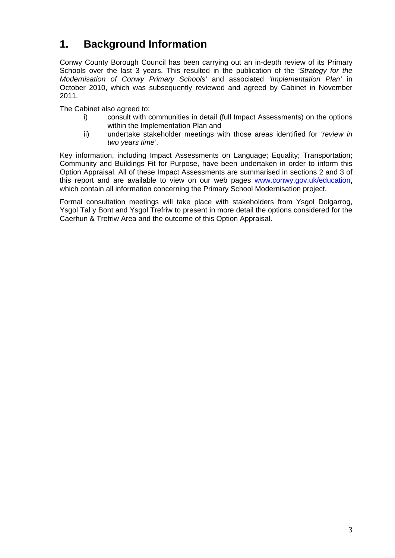## **1. Background Information**

Conwy County Borough Council has been carrying out an in-depth review of its Primary Schools over the last 3 years. This resulted in the publication of the *'Strategy for the Modernisation of Conwy Primary Schools'* and associated *'Implementation Plan'* in October 2010, which was subsequently reviewed and agreed by Cabinet in November 2011.

The Cabinet also agreed to:

- i) consult with communities in detail (full Impact Assessments) on the options within the Implementation Plan and
- ii) undertake stakeholder meetings with those areas identified for *'review in two years time'*.

Key information, including Impact Assessments on Language; Equality; Transportation; Community and Buildings Fit for Purpose, have been undertaken in order to inform this Option Appraisal. All of these Impact Assessments are summarised in sections 2 and 3 of this report and are available to view on our web pages [www.conwy.gov.uk/education,](http://www.conwy.gov.uk/education) which contain all information concerning the Primary School Modernisation project.

Formal consultation meetings will take place with stakeholders from Ysgol Dolgarrog, Ysgol Tal y Bont and Ysgol Trefriw to present in more detail the options considered for the Caerhun & Trefriw Area and the outcome of this Option Appraisal.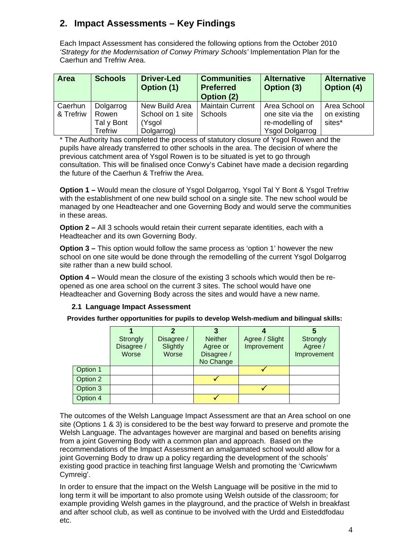## **2. Impact Assessments – Key Findings**

Each Impact Assessment has considered the following options from the October 2010 *'Strategy for the Modernisation of Conwy Primary Schools'* Implementation Plan for the Caerhun and Trefriw Area.

| Area      | <b>Schools</b> | <b>Driver-Led</b><br>Option (1) | <b>Communities</b><br><b>Preferred</b><br>Option (2) | <b>Alternative</b><br>Option (3) | <b>Alternative</b><br><b>Option (4)</b> |
|-----------|----------------|---------------------------------|------------------------------------------------------|----------------------------------|-----------------------------------------|
| Caerhun   | Dolgarrog      | New Build Area                  | <b>Maintain Current</b>                              | Area School on                   | Area School                             |
| & Trefriw | Rowen          | School on 1 site                | <b>Schools</b>                                       | one site via the                 | on existing                             |
|           | Tal y Bont     | (Ysgol                          |                                                      | re-modelling of                  | sites*                                  |
|           | Trefriw        | Dolgarrog)                      |                                                      | <b>Ysgol Dolgarrog</b>           |                                         |

\* The Authority has completed the process of statutory closure of Ysgol Rowen and the pupils have already transferred to other schools in the area. The decision of where the previous catchment area of Ysgol Rowen is to be situated is yet to go through consultation. This will be finalised once Conwy's Cabinet have made a decision regarding the future of the Caerhun & Trefriw the Area.

**Option 1 –** Would mean the closure of Ysgol Dolgarrog, Ysgol Tal Y Bont & Ysgol Trefriw with the establishment of one new build school on a single site. The new school would be managed by one Headteacher and one Governing Body and would serve the communities in these areas.

**Option 2 –** All 3 schools would retain their current separate identities, each with a Headteacher and its own Governing Body.

**Option 3 –** This option would follow the same process as 'option 1' however the new school on one site would be done through the remodelling of the current Ysgol Dolgarrog site rather than a new build school.

**Option 4 –** Would mean the closure of the existing 3 schools which would then be reopened as one area school on the current 3 sites. The school would have one Headteacher and Governing Body across the sites and would have a new name.

## **2.1 Language Impact Assessment**

 **Provides further opportunities for pupils to develop Welsh-medium and bilingual skills:** 

|          | Strongly<br>Disagree /<br>Worse | Disagree /<br>Slightly<br>Worse | <b>Neither</b><br>Agree or<br>Disagree /<br>No Change | Agree / Slight<br>Improvement | Strongly<br>Agree /<br>Improvement |
|----------|---------------------------------|---------------------------------|-------------------------------------------------------|-------------------------------|------------------------------------|
| Option 1 |                                 |                                 |                                                       |                               |                                    |
| Option 2 |                                 |                                 |                                                       |                               |                                    |
| Option 3 |                                 |                                 |                                                       |                               |                                    |
| Option 4 |                                 |                                 |                                                       |                               |                                    |

The outcomes of the Welsh Language Impact Assessment are that an Area school on one site (Options 1 & 3) is considered to be the best way forward to preserve and promote the Welsh Language. The advantages however are marginal and based on benefits arising from a joint Governing Body with a common plan and approach. Based on the recommendations of the Impact Assessment an amalgamated school would allow for a joint Governing Body to draw up a policy regarding the development of the schools' existing good practice in teaching first language Welsh and promoting the 'Cwricwlwm Cymreig'.

In order to ensure that the impact on the Welsh Language will be positive in the mid to long term it will be important to also promote using Welsh outside of the classroom; for example providing Welsh games in the playground, and the practice of Welsh in breakfast and after school club, as well as continue to be involved with the Urdd and Eisteddfodau etc.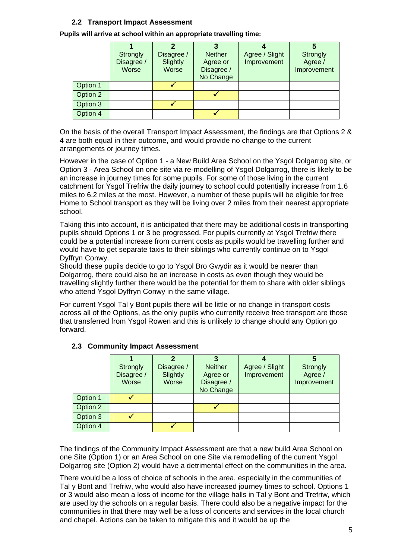## **2.2 Transport Impact Assessment**

| Pupils will arrive at school within an appropriate travelling time: |  |  |
|---------------------------------------------------------------------|--|--|
|                                                                     |  |  |

|          | <b>Strongly</b><br>Disagree /<br>Worse | Disagree /<br>Slightly<br>Worse | <b>Neither</b><br>Agree or<br>Disagree /<br>No Change | Agree / Slight<br>Improvement | 5<br>Strongly<br>Agree /<br>Improvement |
|----------|----------------------------------------|---------------------------------|-------------------------------------------------------|-------------------------------|-----------------------------------------|
| Option 1 |                                        |                                 |                                                       |                               |                                         |
| Option 2 |                                        |                                 |                                                       |                               |                                         |
| Option 3 |                                        |                                 |                                                       |                               |                                         |
| Option 4 |                                        |                                 |                                                       |                               |                                         |

On the basis of the overall Transport Impact Assessment, the findings are that Options 2 & 4 are both equal in their outcome, and would provide no change to the current arrangements or journey times.

However in the case of Option 1 - a New Build Area School on the Ysgol Dolgarrog site, or Option 3 - Area School on one site via re-modelling of Ysgol Dolgarrog, there is likely to be an increase in journey times for some pupils. For some of those living in the current catchment for Ysgol Trefriw the daily journey to school could potentially increase from 1.6 miles to 6.2 miles at the most. However, a number of these pupils will be eligible for free Home to School transport as they will be living over 2 miles from their nearest appropriate school.

Taking this into account, it is anticipated that there may be additional costs in transporting pupils should Options 1 or 3 be progressed. For pupils currently at Ysgol Trefriw there could be a potential increase from current costs as pupils would be travelling further and would have to get separate taxis to their siblings who currently continue on to Ysgol Dyffryn Conwy.

Should these pupils decide to go to Ysgol Bro Gwydir as it would be nearer than Dolgarrog, there could also be an increase in costs as even though they would be travelling slightly further there would be the potential for them to share with older siblings who attend Ysgol Dyffryn Conwy in the same village.

For current Ysgol Tal y Bont pupils there will be little or no change in transport costs across all of the Options, as the only pupils who currently receive free transport are those that transferred from Ysgol Rowen and this is unlikely to change should any Option go forward.

|          | Strongly<br>Disagree /<br>Worse | 2<br>Disagree /<br>Slightly<br>Worse | <b>Neither</b><br>Agree or<br>Disagree /<br>No Change | Agree / Slight<br>Improvement | C<br>Strongly<br>Agree /<br>Improvement |
|----------|---------------------------------|--------------------------------------|-------------------------------------------------------|-------------------------------|-----------------------------------------|
| Option 1 |                                 |                                      |                                                       |                               |                                         |
| Option 2 |                                 |                                      |                                                       |                               |                                         |
| Option 3 |                                 |                                      |                                                       |                               |                                         |
| Option 4 |                                 |                                      |                                                       |                               |                                         |

#### **2.3 Community Impact Assessment**

The findings of the Community Impact Assessment are that a new build Area School on one Site (Option 1) or an Area School on one Site via remodelling of the current Ysgol Dolgarrog site (Option 2) would have a detrimental effect on the communities in the area.

There would be a loss of choice of schools in the area, especially in the communities of Tal y Bont and Trefriw, who would also have increased journey times to school. Options 1 or 3 would also mean a loss of income for the village halls in Tal y Bont and Trefriw, which are used by the schools on a regular basis. There could also be a negative impact for the communities in that there may well be a loss of concerts and services in the local church and chapel. Actions can be taken to mitigate this and it would be up the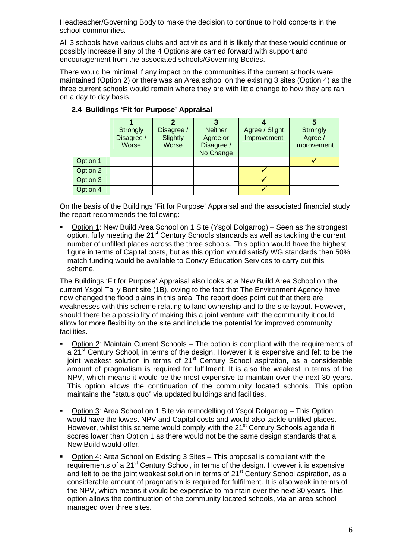Headteacher/Governing Body to make the decision to continue to hold concerts in the school communities.

All 3 schools have various clubs and activities and it is likely that these would continue or possibly increase if any of the 4 Options are carried forward with support and encouragement from the associated schools/Governing Bodies..

There would be minimal if any impact on the communities if the current schools were maintained (Option 2) or there was an Area school on the existing 3 sites (Option 4) as the three current schools would remain where they are with little change to how they are ran on a day to day basis.

|          | Strongly<br>Disagree /<br>Worse | Disagree /<br>Slightly<br>Worse | <b>Neither</b><br>Agree or<br>Disagree /<br>No Change | Agree / Slight<br>Improvement | 5<br>Strongly<br>Agree /<br>Improvement |
|----------|---------------------------------|---------------------------------|-------------------------------------------------------|-------------------------------|-----------------------------------------|
| Option 1 |                                 |                                 |                                                       |                               |                                         |
| Option 2 |                                 |                                 |                                                       |                               |                                         |
| Option 3 |                                 |                                 |                                                       |                               |                                         |
| Option 4 |                                 |                                 |                                                       |                               |                                         |

## **2.4 Buildings 'Fit for Purpose' Appraisal**

On the basis of the Buildings 'Fit for Purpose' Appraisal and the associated financial study the report recommends the following:

 Option 1: New Build Area School on 1 Site (Ysgol Dolgarrog) – Seen as the strongest option, fully meeting the 21<sup>st</sup> Century Schools standards as well as tackling the current number of unfilled places across the three schools. This option would have the highest figure in terms of Capital costs, but as this option would satisfy WG standards then 50% match funding would be available to Conwy Education Services to carry out this scheme.

The Buildings 'Fit for Purpose' Appraisal also looks at a New Build Area School on the current Ysgol Tal y Bont site (1B), owing to the fact that The Environment Agency have now changed the flood plains in this area. The report does point out that there are weaknesses with this scheme relating to land ownership and to the site layout. However, should there be a possibility of making this a joint venture with the community it could allow for more flexibility on the site and include the potential for improved community facilities.

- Option 2: Maintain Current Schools The option is compliant with the requirements of a 21<sup>st</sup> Century School, in terms of the design. However it is expensive and felt to be the joint weakest solution in terms of 21<sup>st</sup> Century School aspiration, as a considerable amount of pragmatism is required for fulfilment. It is also the weakest in terms of the NPV, which means it would be the most expensive to maintain over the next 30 years. This option allows the continuation of the community located schools. This option maintains the "status quo" via updated buildings and facilities.
- Option 3: Area School on 1 Site via remodelling of Ysgol Dolgarrog This Option would have the lowest NPV and Capital costs and would also tackle unfilled places. However, whilst this scheme would comply with the 21<sup>st</sup> Century Schools agenda it scores lower than Option 1 as there would not be the same design standards that a New Build would offer.
- Option 4: Area School on Existing 3 Sites This proposal is compliant with the requirements of a 21<sup>st</sup> Century School, in terms of the design. However it is expensive and felt to be the joint weakest solution in terms of  $21<sup>st</sup>$  Century School aspiration, as a considerable amount of pragmatism is required for fulfilment. It is also weak in terms of the NPV, which means it would be expensive to maintain over the next 30 years. This option allows the continuation of the community located schools, via an area school managed over three sites.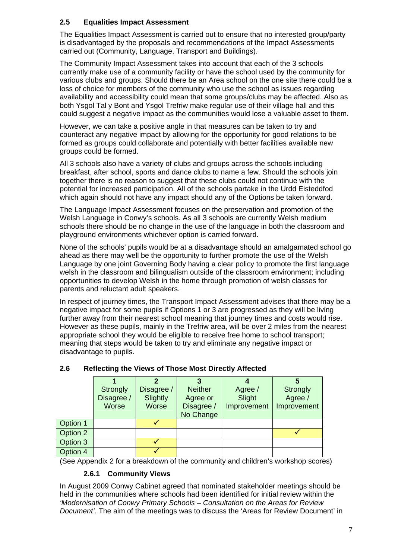## **2.5 Equalities Impact Assessment**

The Equalities Impact Assessment is carried out to ensure that no interested group/party is disadvantaged by the proposals and recommendations of the Impact Assessments carried out (Community, Language, Transport and Buildings).

The Community Impact Assessment takes into account that each of the 3 schools currently make use of a community facility or have the school used by the community for various clubs and groups. Should there be an Area school on the one site there could be a loss of choice for members of the community who use the school as issues regarding availability and accessibility could mean that some groups/clubs may be affected. Also as both Ysgol Tal y Bont and Ysgol Trefriw make regular use of their village hall and this could suggest a negative impact as the communities would lose a valuable asset to them.

However, we can take a positive angle in that measures can be taken to try and counteract any negative impact by allowing for the opportunity for good relations to be formed as groups could collaborate and potentially with better facilities available new groups could be formed.

All 3 schools also have a variety of clubs and groups across the schools including breakfast, after school, sports and dance clubs to name a few. Should the schools join together there is no reason to suggest that these clubs could not continue with the potential for increased participation. All of the schools partake in the Urdd Eisteddfod which again should not have any impact should any of the Options be taken forward.

The Language Impact Assessment focuses on the preservation and promotion of the Welsh Language in Conwy's schools. As all 3 schools are currently Welsh medium schools there should be no change in the use of the language in both the classroom and playground environments whichever option is carried forward.

None of the schools' pupils would be at a disadvantage should an amalgamated school go ahead as there may well be the opportunity to further promote the use of the Welsh Language by one joint Governing Body having a clear policy to promote the first language welsh in the classroom and bilingualism outside of the classroom environment; including opportunities to develop Welsh in the home through promotion of welsh classes for parents and reluctant adult speakers.

In respect of journey times, the Transport Impact Assessment advises that there may be a negative impact for some pupils if Options 1 or 3 are progressed as they will be living further away from their nearest school meaning that journey times and costs would rise. However as these pupils, mainly in the Trefriw area, will be over 2 miles from the nearest appropriate school they would be eligible to receive free home to school transport; meaning that steps would be taken to try and eliminate any negative impact or disadvantage to pupils.

|          |            | 2          |                |             | 5           |
|----------|------------|------------|----------------|-------------|-------------|
|          | Strongly   | Disagree / | <b>Neither</b> | Agree /     | Strongly    |
|          | Disagree / | Slightly   | Agree or       | Slight      | Agree /     |
|          | Worse      | Worse      | Disagree /     | Improvement | Improvement |
|          |            |            | No Change      |             |             |
| Option 1 |            |            |                |             |             |
| Option 2 |            |            |                |             |             |
| Option 3 |            |            |                |             |             |
| Option 4 |            |            |                |             |             |

## **2.6 Reflecting the Views of Those Most Directly Affected**

(See Appendix 2 for a breakdown of the community and children's workshop scores)

#### **2.6.1 Community Views**

In August 2009 Conwy Cabinet agreed that nominated stakeholder meetings should be held in the communities where schools had been identified for initial review within the *'Modernisation of Conwy Primary Schools – Consultation on the Areas for Review Document'*. The aim of the meetings was to discuss the 'Areas for Review Document' in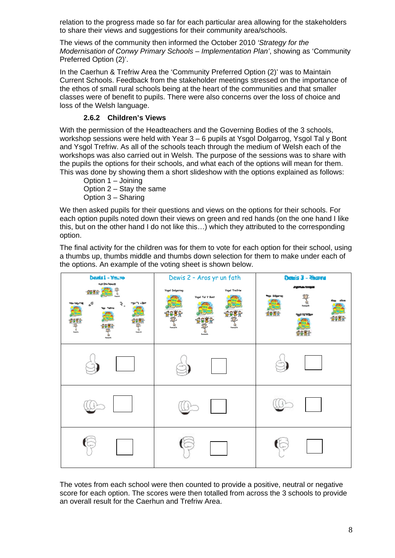relation to the progress made so far for each particular area allowing for the stakeholders to share their views and suggestions for their community area/schools.

The views of the community then informed the October 2010 *'Strategy for the Modernisation of Conwy Primary Schools – Implementation Plan'*, showing as 'Community Preferred Option (2)'.

In the Caerhun & Trefriw Area the 'Community Preferred Option (2)' was to Maintain Current Schools. Feedback from the stakeholder meetings stressed on the importance of the ethos of small rural schools being at the heart of the communities and that smaller classes were of benefit to pupils. There were also concerns over the loss of choice and loss of the Welsh language.

## **2.6.2 Children's Views**

With the permission of the Headteachers and the Governing Bodies of the 3 schools, workshop sessions were held with Year 3 – 6 pupils at Ysgol Dolgarrog, Ysgol Tal y Bont and Ysgol Trefriw. As all of the schools teach through the medium of Welsh each of the workshops was also carried out in Welsh. The purpose of the sessions was to share with the pupils the options for their schools, and what each of the options will mean for them. This was done by showing them a short slideshow with the options explained as follows:

 Option 1 – Joining Option 2 – Stay the same Option 3 – Sharing

We then asked pupils for their questions and views on the options for their schools. For each option pupils noted down their views on green and red hands (on the one hand I like this, but on the other hand I do not like this…) which they attributed to the corresponding option.

The final activity for the children was for them to vote for each option for their school, using a thumbs up, thumbs middle and thumbs down selection for them to make under each of the options. An example of the voting sheet is shown below.



The votes from each school were then counted to provide a positive, neutral or negative score for each option. The scores were then totalled from across the 3 schools to provide an overall result for the Caerhun and Trefriw Area.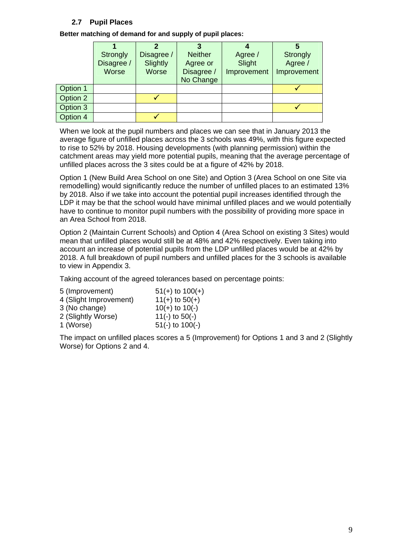## **2.7 Pupil Places**

**Better matching of demand for and supply of pupil places:** 

|          | <b>Strongly</b> | Disagree /   | <b>Neither</b> | Agree /     | Strongly    |
|----------|-----------------|--------------|----------------|-------------|-------------|
|          | Disagree /      | Slightly     | Agree or       | Slight      | Agree /     |
|          | Worse           | <b>Worse</b> | Disagree /     | Improvement | Improvement |
|          |                 |              | No Change      |             |             |
| Option 1 |                 |              |                |             |             |
| Option 2 |                 |              |                |             |             |
| Option 3 |                 |              |                |             |             |
| Option 4 |                 |              |                |             |             |

When we look at the pupil numbers and places we can see that in January 2013 the average figure of unfilled places across the 3 schools was 49%, with this figure expected to rise to 52% by 2018. Housing developments (with planning permission) within the catchment areas may yield more potential pupils, meaning that the average percentage of unfilled places across the 3 sites could be at a figure of 42% by 2018.

Option 1 (New Build Area School on one Site) and Option 3 (Area School on one Site via remodelling) would significantly reduce the number of unfilled places to an estimated 13% by 2018. Also if we take into account the potential pupil increases identified through the LDP it may be that the school would have minimal unfilled places and we would potentially have to continue to monitor pupil numbers with the possibility of providing more space in an Area School from 2018.

Option 2 (Maintain Current Schools) and Option 4 (Area School on existing 3 Sites) would mean that unfilled places would still be at 48% and 42% respectively. Even taking into account an increase of potential pupils from the LDP unfilled places would be at 42% by 2018. A full breakdown of pupil numbers and unfilled places for the 3 schools is available to view in Appendix 3.

Taking account of the agreed tolerances based on percentage points:

| 5 (Improvement)        | $51(+)$ to $100(+)$ |
|------------------------|---------------------|
| 4 (Slight Improvement) | $11(+)$ to $50(+)$  |
| 3 (No change)          | $10(+)$ to $10(-)$  |
| 2 (Slightly Worse)     | 11(-) to $50(-)$    |
| 1 (Worse)              | $51(-)$ to $100(-)$ |

The impact on unfilled places scores a 5 (Improvement) for Options 1 and 3 and 2 (Slightly Worse) for Options 2 and 4.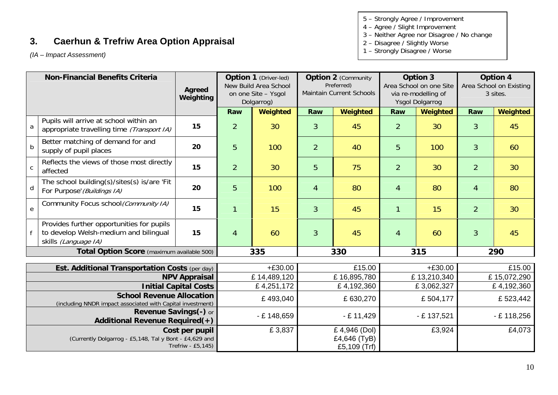## **3. Caerhun & Trefriw Area Option Appraisal**

*(IA – Impact Assessment)*

5 – Strongly Agree / Improvement

- 4 Agree / Slight Improvement
- 3 Neither Agree nor Disagree / No change
- 2 Disagree / Slightly Worse
- 1 Strongly Disagree / Worse

<span id="page-9-0"></span>

| <b>Non-Financial Benefits Criteria</b>                                                         |                                                                                                            |                              | <b>Option 1</b> (Driver-led) |                                              | <b>Option 2 (Community</b> |                                              | Option 3       |                                                | <b>Option 4</b> |                                     |
|------------------------------------------------------------------------------------------------|------------------------------------------------------------------------------------------------------------|------------------------------|------------------------------|----------------------------------------------|----------------------------|----------------------------------------------|----------------|------------------------------------------------|-----------------|-------------------------------------|
|                                                                                                |                                                                                                            | Agreed                       |                              | New Build Area School<br>on one Site - Ysgol |                            | Preferred)<br>Maintain Current Schools       |                | Area School on one Site<br>via re-modelling of |                 | Area School on Existing<br>3 sites. |
|                                                                                                |                                                                                                            | Weighting                    |                              | Dolgarrog)                                   |                            |                                              |                | Ysgol Dolgarrog                                |                 |                                     |
|                                                                                                |                                                                                                            |                              | Raw                          | Weighted                                     | Raw                        | Weighted                                     | Raw            | Weighted                                       | Raw             | <b>Weighted</b>                     |
| a                                                                                              | Pupils will arrive at school within an<br>appropriate travelling time (Transport IA)                       | 15                           | $\overline{2}$               | 30                                           | $\mathbf{3}$               | 45                                           | $\overline{2}$ | 30                                             | 3               | 45                                  |
| $\mathsf b$                                                                                    | Better matching of demand for and<br>supply of pupil places                                                | 20                           | 5                            | 100                                          | $\overline{2}$             | 40                                           | 5              | 100                                            | $\overline{3}$  | 60                                  |
| C                                                                                              | Reflects the views of those most directly<br>affected                                                      | 15                           | $\overline{2}$               | 30                                           | 5                          | 75                                           | $\overline{2}$ | 30                                             | $\overline{2}$  | 30                                  |
| d                                                                                              | The school building(s)/sites(s) is/are 'Fit<br>For Purpose' (Buildings IA)                                 | 20                           | 5                            | 100                                          | $\overline{4}$             | 80                                           | 4              | 80                                             | 4               | 80                                  |
| e                                                                                              | Community Focus school (Community IA)                                                                      | 15                           | $\mathbf{1}$                 | 15                                           | 3                          | 45                                           | 1              | 15                                             | $\overline{2}$  | 30                                  |
|                                                                                                | Provides further opportunities for pupils<br>to develop Welsh-medium and bilingual<br>skills (Language IA) | 15                           | $\overline{4}$               | 60                                           | $\overline{3}$             | 45                                           | $\overline{4}$ | 60                                             | $\overline{3}$  | 45                                  |
|                                                                                                | Total Option Score (maximum available 500)                                                                 |                              |                              | 335                                          |                            | 330                                          |                | 315                                            |                 | 290                                 |
|                                                                                                | Est. Additional Transportation Costs (per day)                                                             |                              |                              | $+£30.00$                                    |                            | £15.00                                       |                | $+£30.00$                                      |                 | £15.00                              |
|                                                                                                |                                                                                                            | <b>NPV Appraisal</b>         | £14,489,120                  |                                              | £16,895,780                | £13,210,340                                  |                | £15,072,290                                    |                 |                                     |
|                                                                                                |                                                                                                            | <b>Initial Capital Costs</b> |                              | £4,251,172                                   |                            | £4,192,360                                   |                | £3,062,327                                     |                 | £4,192,360                          |
| <b>School Revenue Allocation</b><br>(including NNDR impact associated with Capital investment) |                                                                                                            |                              |                              | £493,040<br>£630,270                         |                            | £504,177                                     |                | £523,442                                       |                 |                                     |
| Revenue Savings(-) or<br><b>Additional Revenue Required(+)</b>                                 |                                                                                                            |                              |                              | $- E 148,659$                                | $-E$ 11,429                |                                              |                | $-E$ 137,521                                   |                 | $-E$ 118,256                        |
| Cost per pupil<br>(Currently Dolgarrog - £5,148, Tal y Bont - £4,629 and<br>Trefriw - £5,145)  |                                                                                                            |                              |                              | £3,837                                       |                            | £4,946 (Dol)<br>£4,646 (TyB)<br>£5,109 (Trf) |                | £3,924                                         |                 | £4,073                              |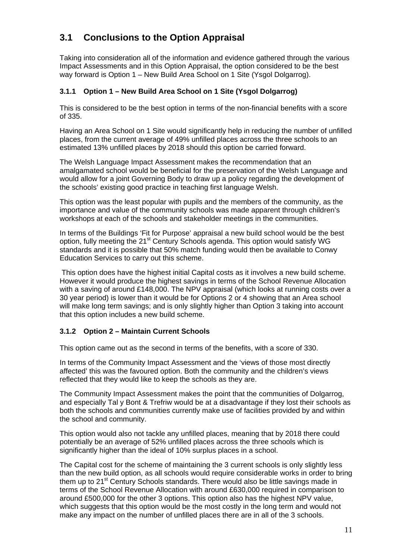## **3.1 Conclusions to the Option Appraisal**

Taking into consideration all of the information and evidence gathered through the various Impact Assessments and in this Option Appraisal, the option considered to be the best way forward is Option 1 – New Build Area School on 1 Site (Ysgol Dolgarrog).

## **3.1.1 Option 1 – New Build Area School on 1 Site (Ysgol Dolgarrog)**

This is considered to be the best option in terms of the non-financial benefits with a score of 335.

Having an Area School on 1 Site would significantly help in reducing the number of unfilled places, from the current average of 49% unfilled places across the three schools to an estimated 13% unfilled places by 2018 should this option be carried forward.

The Welsh Language Impact Assessment makes the recommendation that an amalgamated school would be beneficial for the preservation of the Welsh Language and would allow for a joint Governing Body to draw up a policy regarding the development of the schools' existing good practice in teaching first language Welsh.

This option was the least popular with pupils and the members of the community, as the importance and value of the community schools was made apparent through children's workshops at each of the schools and stakeholder meetings in the communities.

In terms of the Buildings 'Fit for Purpose' appraisal a new build school would be the best option, fully meeting the 21<sup>st</sup> Century Schools agenda. This option would satisfy WG standards and it is possible that 50% match funding would then be available to Conwy Education Services to carry out this scheme.

 This option does have the highest initial Capital costs as it involves a new build scheme. However it would produce the highest savings in terms of the School Revenue Allocation with a saving of around £148,000. The NPV appraisal (which looks at running costs over a 30 year period) is lower than it would be for Options 2 or 4 showing that an Area school will make long term savings; and is only slightly higher than Option 3 taking into account that this option includes a new build scheme.

## **3.1.2 Option 2 – Maintain Current Schools**

This option came out as the second in terms of the benefits, with a score of 330.

In terms of the Community Impact Assessment and the 'views of those most directly affected' this was the favoured option. Both the community and the children's views reflected that they would like to keep the schools as they are.

The Community Impact Assessment makes the point that the communities of Dolgarrog, and especially Tal y Bont & Trefriw would be at a disadvantage if they lost their schools as both the schools and communities currently make use of facilities provided by and within the school and community.

This option would also not tackle any unfilled places, meaning that by 2018 there could potentially be an average of 52% unfilled places across the three schools which is significantly higher than the ideal of 10% surplus places in a school.

The Capital cost for the scheme of maintaining the 3 current schools is only slightly less than the new build option, as all schools would require considerable works in order to bring them up to 21<sup>st</sup> Century Schools standards. There would also be little savings made in terms of the School Revenue Allocation with around £630,000 required in comparison to around £500,000 for the other 3 options. This option also has the highest NPV value, which suggests that this option would be the most costly in the long term and would not make any impact on the number of unfilled places there are in all of the 3 schools.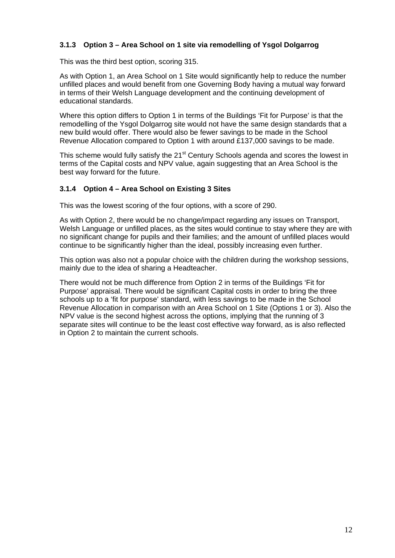## **3.1.3 Option 3 – Area School on 1 site via remodelling of Ysgol Dolgarrog**

This was the third best option, scoring 315.

As with Option 1, an Area School on 1 Site would significantly help to reduce the number unfilled places and would benefit from one Governing Body having a mutual way forward in terms of their Welsh Language development and the continuing development of educational standards.

Where this option differs to Option 1 in terms of the Buildings 'Fit for Purpose' is that the remodelling of the Ysgol Dolgarrog site would not have the same design standards that a new build would offer. There would also be fewer savings to be made in the School Revenue Allocation compared to Option 1 with around £137,000 savings to be made.

This scheme would fully satisfy the  $21<sup>st</sup>$  Century Schools agenda and scores the lowest in terms of the Capital costs and NPV value, again suggesting that an Area School is the best way forward for the future.

#### **3.1.4 Option 4 – Area School on Existing 3 Sites**

This was the lowest scoring of the four options, with a score of 290.

As with Option 2, there would be no change/impact regarding any issues on Transport, Welsh Language or unfilled places, as the sites would continue to stay where they are with no significant change for pupils and their families; and the amount of unfilled places would continue to be significantly higher than the ideal, possibly increasing even further.

This option was also not a popular choice with the children during the workshop sessions, mainly due to the idea of sharing a Headteacher.

There would not be much difference from Option 2 in terms of the Buildings 'Fit for Purpose' appraisal. There would be significant Capital costs in order to bring the three schools up to a 'fit for purpose' standard, with less savings to be made in the School Revenue Allocation in comparison with an Area School on 1 Site (Options 1 or 3). Also the NPV value is the second highest across the options, implying that the running of 3 separate sites will continue to be the least cost effective way forward, as is also reflected in Option 2 to maintain the current schools.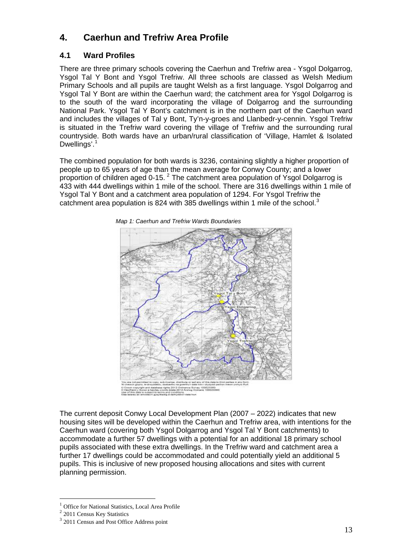## **4. Caerhun and Trefriw Area Profile**

## **4.1 Ward Profiles**

There are three primary schools covering the Caerhun and Trefriw area - Ysgol Dolgarrog, Ysgol Tal Y Bont and Ysgol Trefriw. All three schools are classed as Welsh Medium Primary Schools and all pupils are taught Welsh as a first language. Ysgol Dolgarrog and Ysgol Tal Y Bont are within the Caerhun ward; the catchment area for Ysgol Dolgarrog is to the south of the ward incorporating the village of Dolgarrog and the surrounding National Park. Ysgol Tal Y Bont's catchment is in the northern part of the Caerhun ward and includes the villages of Tal y Bont, Ty'n-y-groes and Llanbedr-y-cennin. Ysgol Trefriw is situated in the Trefriw ward covering the village of Trefriw and the surrounding rural countryside. Both wards have an urban/rural classification of 'Village, Hamlet & Isolated Dwellings'.<sup>[1](#page-0-1)</sup>

The combined population for both wards is 3236, containing slightly a higher proportion of people up to 65 years of age than the mean average for Conwy County; and a lower proportion of children aged 0-15. [2](#page-12-0) The catchment area population of Ysgol Dolgarrog is 433 with 444 dwellings within 1 mile of the school. There are 316 dwellings within 1 mile of Ysgol Tal Y Bont and a catchment area population of 1294. For Ysgol Trefriw the catchment area population is 824 with [3](#page-12-1)85 dwellings within 1 mile of the school.<sup>3</sup>



*Map 1: Caerhun and Trefriw Wards Boundaries* 

The current deposit Conwy Local Development Plan (2007 – 2022) indicates that new housing sites will be developed within the Caerhun and Trefriw area, with intentions for the Caerhun ward (covering both Ysgol Dolgarrog and Ysgol Tal Y Bont catchments) to accommodate a further 57 dwellings with a potential for an additional 18 primary school pupils associated with these extra dwellings. In the Trefriw ward and catchment area a further 17 dwellings could be accommodated and could potentially yield an additional 5 pupils. This is inclusive of new proposed housing allocations and sites with current planning permission.

 $\overline{a}$ 

<span id="page-12-2"></span><sup>&</sup>lt;sup>1</sup> Office for National Statistics, Local Area Profile

<span id="page-12-0"></span><sup>&</sup>lt;sup>2</sup> 2011 Census Key Statistics

<span id="page-12-1"></span><sup>&</sup>lt;sup>3</sup> 2011 Census and Post Office Address point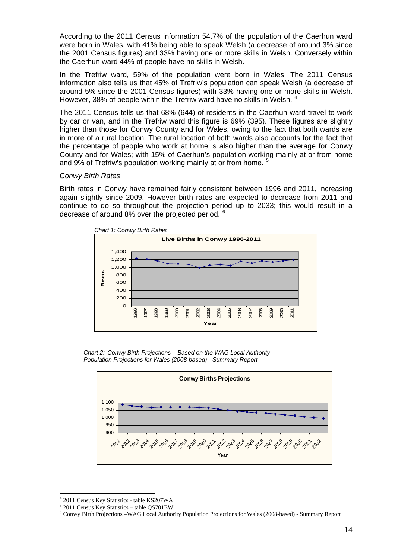According to the 2011 Census information 54.7% of the population of the Caerhun ward were born in Wales, with 41% being able to speak Welsh (a decrease of around 3% since the 2001 Census figures) and 33% having one or more skills in Welsh. Conversely within the Caerhun ward 44% of people have no skills in Welsh.

In the Trefriw ward, 59% of the population were born in Wales. The 2011 Census information also tells us that 45% of Trefriw's population can speak Welsh (a decrease of around 5% since the 2001 Census figures) with 33% having one or more skills in Welsh. However, 38% of people within the Trefriw ward have no skills in Welsh.<sup>[4](#page-12-2)</sup>

The 2011 Census tells us that 68% (644) of residents in the Caerhun ward travel to work by car or van, and in the Trefriw ward this figure is 69% (395). These figures are slightly higher than those for Conwy County and for Wales, owing to the fact that both wards are in more of a rural location. The rural location of both wards also accounts for the fact that the percentage of people who work at home is also higher than the average for Conwy County and for Wales; with 15% of Caerhun's population working mainly at or from home and 9% of Trefriw's population working mainly at or from home.<sup>[5](#page-13-0)</sup>

#### *Conwy Birth Rates*

Birth rates in Conwy have remained fairly consistent between 1996 and 2011, increasing again slightly since 2009. However birth rates are expected to decrease from 2011 and continue to do so throughout the projection period up to 2033; this would result in a decrease of around 8% over the projected period. <sup>[6](#page-13-1)</sup>



*Chart 2: Conwy Birth Projections – Based on the WAG Local Authority Population Projections for Wales (2008-based) - Summary Report* 



 $\overline{a}$ <sup>4</sup> 2011 Census Key Statistics - table KS207WA<br><sup>5</sup> 2011 Cansus Kay Statistics - table OS701EW

 <sup>2011</sup> Census Key Statistics – table QS701EW

<span id="page-13-2"></span><span id="page-13-1"></span><span id="page-13-0"></span><sup>6</sup> Conwy Birth Projections –WAG Local Authority Population Projections for Wales (2008-based) - Summary Report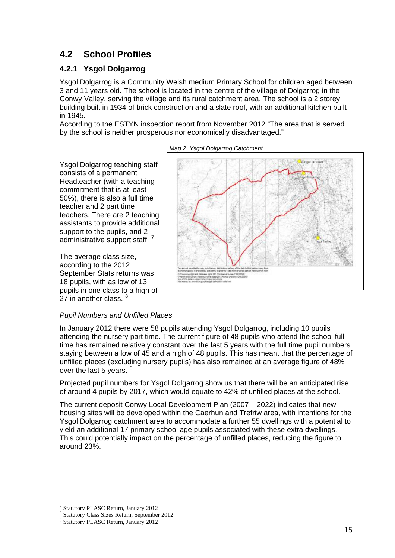## **4.2 School Profiles**

## **4.2.1 Ysgol Dolgarrog**

Ysgol Dolgarrog teaching staff consists of a permanent Headteacher (with a teaching commitment that is at least 50%), there is also a full time teacher and 2 part time

teachers. There are 2 teaching assistants to provide additional support to the pupils, and 2 administrative support staff.<sup>[7](#page-13-2)</sup>

The average class size, according to the 2012

27 in another class.  $8$ 

September Stats returns was 18 pupils, with as low of 13 pupils in one class to a high of

Ysgol Dolgarrog is a Community Welsh medium Primary School for children aged between 3 and 11 years old. The school is located in the centre of the village of Dolgarrog in the Conwy Valley, serving the village and its rural catchment area. The school is a 2 storey building built in 1934 of brick construction and a slate roof, with an additional kitchen built in 1945.

According to the ESTYN inspection report from November 2012 "The area that is served by the school is neither prosperous nor economically disadvantaged."



*Map 2: Ysgol Dolgarrog Catchment* 

#### *Pupil Numbers and Unfilled Places*

In January 2012 there were 58 pupils attending Ysgol Dolgarrog, including 10 pupils attending the nursery part time. The current figure of 48 pupils who attend the school full time has remained relatively constant over the last 5 years with the full time pupil numbers staying between a low of 45 and a high of 48 pupils. This has meant that the percentage of unfilled places (excluding nursery pupils) has also remained at an average figure of 48% over the last 5 years. <sup>[9](#page-14-1)</sup>

Projected pupil numbers for Ysgol Dolgarrog show us that there will be an anticipated rise of around 4 pupils by 2017, which would equate to 42% of unfilled places at the school.

The current deposit Conwy Local Development Plan (2007 – 2022) indicates that new housing sites will be developed within the Caerhun and Trefriw area, with intentions for the Ysgol Dolgarrog catchment area to accommodate a further 55 dwellings with a potential to yield an additional 17 primary school age pupils associated with these extra dwellings. This could potentially impact on the percentage of unfilled places, reducing the figure to around 23%.

 $\overline{a}$ 

<span id="page-14-2"></span><span id="page-14-0"></span><sup>7</sup> Statutory PLASC Return, January 2012

<sup>8</sup> Statutory Class Sizes Return, September 2012

<span id="page-14-1"></span><sup>9</sup> Statutory PLASC Return, January 2012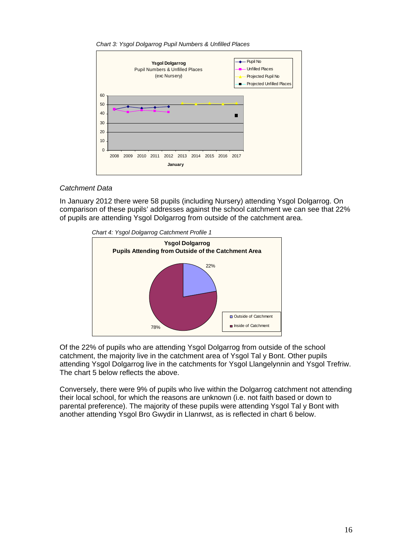*Chart 3: Ysgol Dolgarrog Pupil Numbers & Unfilled Places* 



#### *Catchment Data*

In January 2012 there were 58 pupils (including Nursery) attending Ysgol Dolgarrog. On comparison of these pupils' addresses against the school catchment we can see that 22% of pupils are attending Ysgol Dolgarrog from outside of the catchment area.



Of the 22% of pupils who are attending Ysgol Dolgarrog from outside of the school catchment, the majority live in the catchment area of Ysgol Tal y Bont. Other pupils attending Ysgol Dolgarrog live in the catchments for Ysgol Llangelynnin and Ysgol Trefriw. The chart 5 below reflects the above.

Conversely, there were 9% of pupils who live within the Dolgarrog catchment not attending their local school, for which the reasons are unknown (i.e. not faith based or down to parental preference). The majority of these pupils were attending Ysgol Tal y Bont with another attending Ysgol Bro Gwydir in Llanrwst, as is reflected in chart 6 below.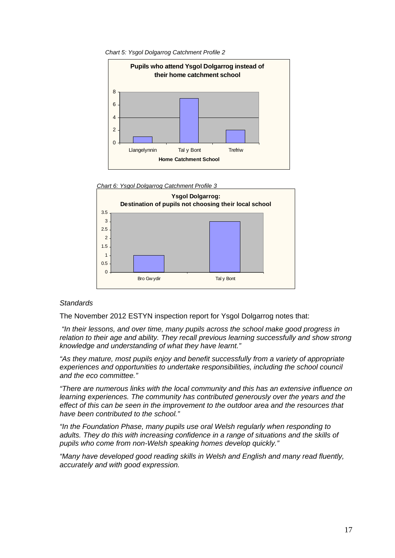







#### *Standards*

The November 2012 ESTYN inspection report for Ysgol Dolgarrog notes that:

 *"In their lessons, and over time, many pupils across the school make good progress in relation to their age and ability. They recall previous learning successfully and show strong knowledge and understanding of what they have learnt."* 

*"As they mature, most pupils enjoy and benefit successfully from a variety of appropriate experiences and opportunities to undertake responsibilities, including the school council and the eco committee."* 

*"There are numerous links with the local community and this has an extensive influence on learning experiences. The community has contributed generously over the years and the effect of this can be seen in the improvement to the outdoor area and the resources that have been contributed to the school."* 

*"In the Foundation Phase, many pupils use oral Welsh regularly when responding to adults. They do this with increasing confidence in a range of situations and the skills of pupils who come from non-Welsh speaking homes develop quickly."* 

*"Many have developed good reading skills in Welsh and English and many read fluently, accurately and with good expression.*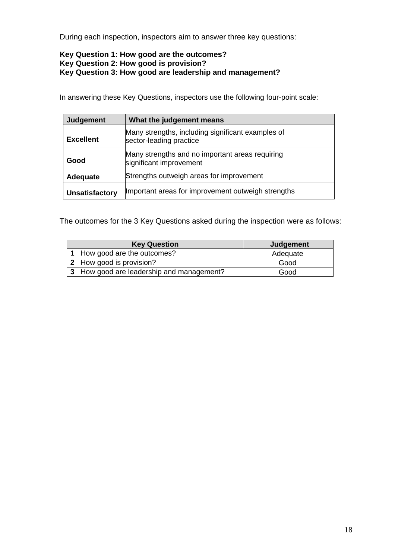During each inspection, inspectors aim to answer three key questions:

## **Key Question 1: How good are the outcomes? Key Question 2: How good is provision? Key Question 3: How good are leadership and management?**

In answering these Key Questions, inspectors use the following four-point scale:

| <b>Judgement</b>      | What the judgement means                                                     |
|-----------------------|------------------------------------------------------------------------------|
| <b>Excellent</b>      | Many strengths, including significant examples of<br>sector-leading practice |
| Good                  | Many strengths and no important areas requiring<br>significant improvement   |
| Adequate              | Strengths outweigh areas for improvement                                     |
| <b>Unsatisfactory</b> | Important areas for improvement outweigh strengths                           |

The outcomes for the 3 Key Questions asked during the inspection were as follows:

| <b>Key Question</b>                       | Judgement |
|-------------------------------------------|-----------|
| 1 How good are the outcomes?              | Adequate  |
| 2 How good is provision?                  | Good      |
| 3 How good are leadership and management? | Good      |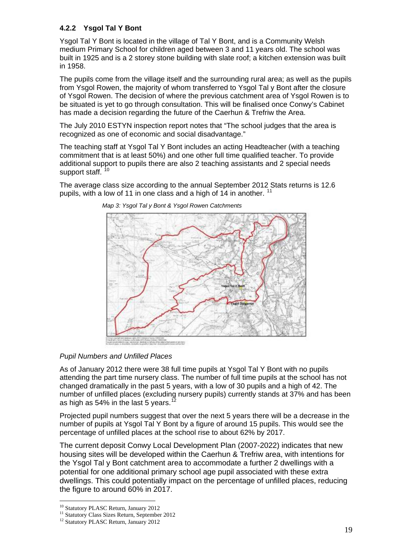## **4.2.2 Ysgol Tal Y Bont**

Ysgol Tal Y Bont is located in the village of Tal Y Bont, and is a Community Welsh medium Primary School for children aged between 3 and 11 years old. The school was built in 1925 and is a 2 storey stone building with slate roof; a kitchen extension was built in 1958.

The pupils come from the village itself and the surrounding rural area; as well as the pupils from Ysgol Rowen, the majority of whom transferred to Ysgol Tal y Bont after the closure of Ysgol Rowen. The decision of where the previous catchment area of Ysgol Rowen is to be situated is yet to go through consultation. This will be finalised once Conwy's Cabinet has made a decision regarding the future of the Caerhun & Trefriw the Area.

The July 2010 ESTYN inspection report notes that "The school judges that the area is recognized as one of economic and social disadvantage."

The teaching staff at Ysgol Tal Y Bont includes an acting Headteacher (with a teaching commitment that is at least 50%) and one other full time qualified teacher. To provide additional support to pupils there are also 2 teaching assistants and 2 special needs support staff.<sup>[10](#page-14-2)</sup>

The average class size according to the annual September 2012 Stats returns is 12.6 pupils, with a low of [11](#page-18-0) in one class and a high of 14 in another.  $11$ 



*Map 3: Ysgol Tal y Bont & Ysgol Rowen Catchments*

*Pupil Numbers and Unfilled Places* 

As of January 2012 there were 38 full time pupils at Ysgol Tal Y Bont with no pupils attending the part time nursery class. The number of full time pupils at the school has not changed dramatically in the past 5 years, with a low of 30 pupils and a high of 42. The number of unfilled places (excluding nursery pupils) currently stands at 37% and has been as high as  $54\%$  in the last 5 years.<sup>1</sup>

Projected pupil numbers suggest that over the next 5 years there will be a decrease in the number of pupils at Ysgol Tal Y Bont by a figure of around 15 pupils. This would see the percentage of unfilled places at the school rise to about 62% by 2017.

The current deposit Conwy Local Development Plan (2007-2022) indicates that new housing sites will be developed within the Caerhun & Trefriw area, with intentions for the Ysgol Tal y Bont catchment area to accommodate a further 2 dwellings with a potential for one additional primary school age pupil associated with these extra dwellings. This could potentially impact on the percentage of unfilled places, reducing the figure to around 60% in 2017.

 $\overline{a}$ 

<sup>&</sup>lt;sup>10</sup> Statutory PLASC Return, January 2012

<span id="page-18-0"></span><sup>&</sup>lt;sup>11</sup> Statutory Class Sizes Return, September 2012

<span id="page-18-1"></span><sup>&</sup>lt;sup>12</sup> Statutory PLASC Return, January 2012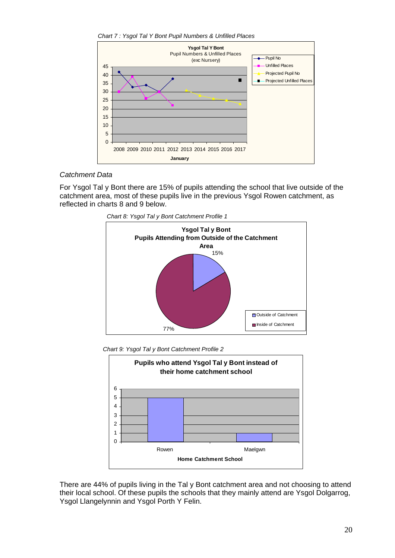*Chart 7 : Ysgol Tal Y Bont Pupil Numbers & Unfilled Places* 



#### *Catchment Data*

For Ysgol Tal y Bont there are 15% of pupils attending the school that live outside of the catchment area, most of these pupils live in the previous Ysgol Rowen catchment, as reflected in charts 8 and 9 below.









There are 44% of pupils living in the Tal y Bont catchment area and not choosing to attend their local school. Of these pupils the schools that they mainly attend are Ysgol Dolgarrog, Ysgol Llangelynnin and Ysgol Porth Y Felin.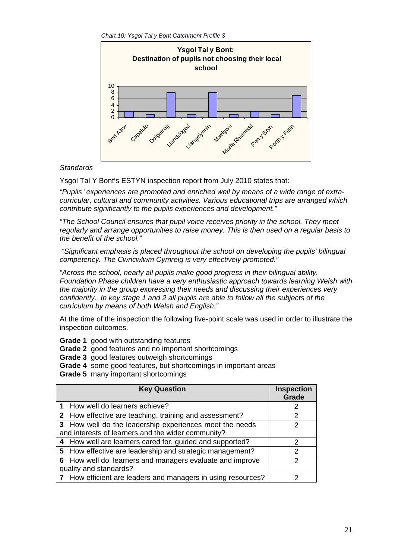*Chart 10: Ysgol Tal y Bont Catchment Profile 3*



### *Standards*

Ysgol Tal Y Bont's ESTYN inspection report from July 2010 states that:

*"Pupils*' *experiences are promoted and enriched well by means of a wide range of extracurricular, cultural and community activities. Various educational trips are arranged which contribute significantly to the pupils experiences and development."* 

*"The School Council ensures that pupil voice receives priority in the school. They meet regularly and arrange opportunities to raise money. This is then used on a regular basis to the benefit of the school."* 

 *"Significant emphasis is placed throughout the school on developing the pupils' bilingual competency. The Cwricwlwm Cymreig is very effectively promoted."* 

*"Across the school, nearly all pupils make good progress in their bilingual ability. Foundation Phase children have a very enthusiastic approach towards learning Welsh with the majority in the group expressing their needs and discussing their experiences very confidently. In key stage 1 and 2 all pupils are able to follow all the subjects of the curriculum by means of both Welsh and English."* 

At the time of the inspection the following five-point scale was used in order to illustrate the inspection outcomes.

- **Grade 1** good with outstanding features
- **Grade 2** good features and no important shortcomings
- **Grade 3** good features outweigh shortcomings
- **Grade 4** some good features, but shortcomings in important areas
- **Grade 5** many important shortcomings

| <b>Key Question</b>                                          | <b>Inspection</b><br>Grade |  |  |  |  |
|--------------------------------------------------------------|----------------------------|--|--|--|--|
| 1 How well do learners achieve?                              | 2                          |  |  |  |  |
| 2 How effective are teaching, training and assessment?       | 2                          |  |  |  |  |
| 3 How well do the leadership experiences meet the needs      | 2                          |  |  |  |  |
| and interests of learners and the wider community?           |                            |  |  |  |  |
| 4 How well are learners cared for, guided and supported?     | 2                          |  |  |  |  |
| 5 How effective are leadership and strategic management?     | 2                          |  |  |  |  |
| 6 How well do learners and managers evaluate and improve     | າ                          |  |  |  |  |
| quality and standards?                                       |                            |  |  |  |  |
| 7 How efficient are leaders and managers in using resources? | າ                          |  |  |  |  |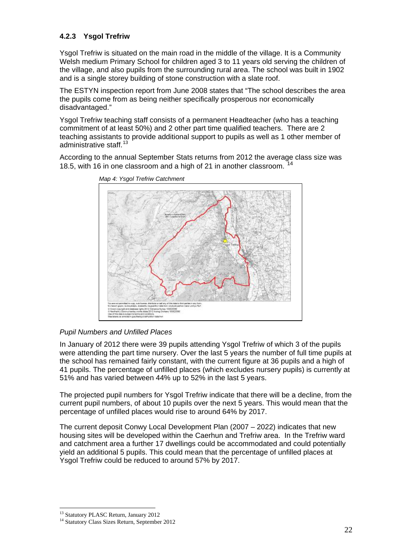## **.2.3 Ysgol Trefriw 4**

Ysgol Trefriw is situated on the main road in the middle of the village. It is a Community Welsh medium Primary School for children aged 3 to 11 years old serving the children of the village, and also pupils from the surrounding rural area. The school was built in 1902 and is a single storey building of stone construction with a slate roof.

The ESTYN inspection report from June 2008 states that "The school describes the area the pupils come from as being neither specifically prosperous nor economically disadvantaged."

Ysgol Trefriw teaching staff consists of a permanent Headteacher (who has a teaching teaching assistants to provide additional support to pupils as well as 1 other member of commitment of at least 50%) and 2 other part time qualified teachers. There are 2 administrative staff.<sup>[13](#page-18-0)</sup>

[According to the annua](#page-18-0)l September Stats returns from 2012 the average class size was 18.5, with 16 in one classroom and a high of 21 in another classroom.



*[Map 4: Ysgol Trefriw Catchment](#page-21-0)* 

### **Pupil Numbers and Unfilled Places**

In January of 2012 there were 39 pupils attending Ysgol Trefriw of which 3 of the pupils were attending the part time nursery. Over the last 5 years the number of full time pupils at 41 pupils. The percentage of unfilled places (which excludes nursery pupils) is currently at the school has remained fairly constant, with the current figure at 36 pupils and a high of 51% and has varied between 44% up to 52% in the last 5 years.

The projected pupil numbers for Ysgol Trefriw indicate that there will be a decline, from the current pupil numbers, of about 10 pupils over the next 5 years. This would mean that the percentage of unfilled places would rise to around 64% by 2017.

The current deposit Conwy Local Development Plan (2007 – 2022) indicates that new housing sites will be developed within the Caerhun and Trefriw area. In the Trefriw ward and catchment area a further 17 dwellings could be accommodated and could potentially yield an additional 5 pupils. This could mean that the percentage of unfilled places at Ysgol Trefriw could be reduced to around 57% by 2017.

 $\overline{a}$ <sup>13</sup> Statutory PLASC Return, January 2012

<span id="page-21-0"></span><sup>&</sup>lt;sup>14</sup> Statutory Class Sizes Return, September 2012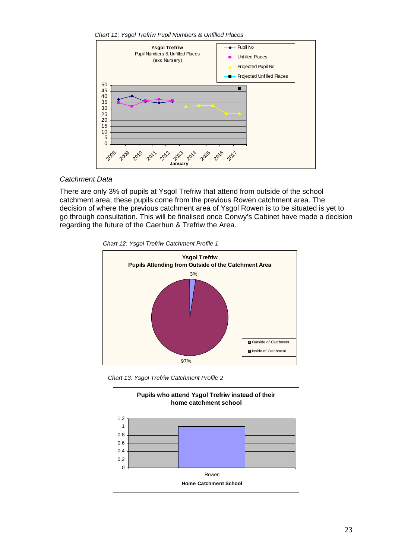*Chart 11: Ysgol Trefriw Pupil Numbers & Unfilled Places*



#### *Catchment Data*

There are only 3% of pupils at Ysgol Trefriw that attend from outside of the school decision of where the previous catchment area of Ysgol Rowen is to be situated is yet to go through consultation. This will be finalised once Conwy's Cabinet have made a decision catchment area; these pupils come from the previous Rowen catchment area. The regarding the future of the Caerhun & Trefriw the Area.

 *Chart 12: Ysgol Trefriw Catchment Profile 1*



 *Chart 13: Ysgol Trefriw Catchment Profile 2*

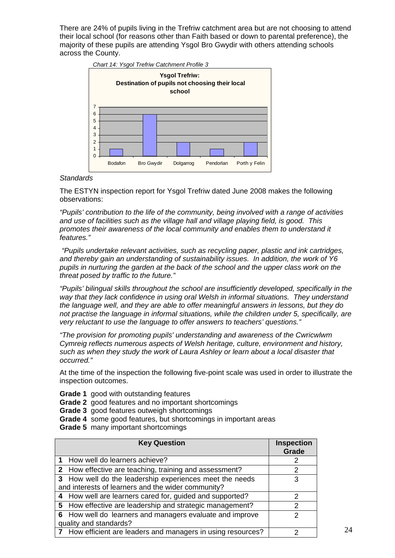There are 24% of pupils living in the Trefriw catchment area but are not choosing to attend their local school (for reasons other than Faith based or down to parental preference), the majority of these pupils are attending Ysgol Bro Gwydir with others attending schools across the County.



#### *Standards*

The ESTYN inspection report for Ysgol Trefriw dated June 2008 makes the following observations:

*"Pupils' contribution to the life of the community, being involved with a range of activities and use of facilities such as the village hall and village playing field, is good. This promotes their awareness of the local community and enables them to understand it features."* 

 *"Pupils undertake relevant activities, such as recycling paper, plastic and ink cartridges, and thereby gain an understanding of sustainability issues. In addition, the work of Y6 pupils in nurturing the garden at the back of the school and the upper class work on the threat posed by traffic to the future."* 

*"Pupils' bilingual skills throughout the school are insufficiently developed, specifically in the way that they lack confidence in using oral Welsh in informal situations. They understand the language well, and they are able to offer meaningful answers in lessons, but they do not practise the language in informal situations, while the children under 5, specifically, are very reluctant to use the language to offer answers to teachers' questions."* 

*"The provision for promoting pupils' understanding and awareness of the Cwricwlwm Cymreig reflects numerous aspects of Welsh heritage, culture, environment and history, such as when they study the work of Laura Ashley or learn about a local disaster that occurred."* 

At the time of the inspection the following five-point scale was used in order to illustrate the inspection outcomes.

- **Grade 1** good with outstanding features
- **Grade 2** good features and no important shortcomings
- **Grade 3** good features outweigh shortcomings
- **Grade 4** some good features, but shortcomings in important areas
- **Grade 5** many important shortcomings

| <b>Key Question</b>                                                                | <b>Inspection</b><br>Grade |
|------------------------------------------------------------------------------------|----------------------------|
| 1 How well do learners achieve?                                                    |                            |
| 2 How effective are teaching, training and assessment?                             | 2                          |
| 3 How well do the leadership experiences meet the needs                            | 3                          |
| and interests of learners and the wider community?                                 |                            |
| 4 How well are learners cared for, guided and supported?                           | 2                          |
| 5 How effective are leadership and strategic management?                           | 2                          |
| 6 How well do learners and managers evaluate and improve<br>quality and standards? | っ                          |
| 7 How efficient are leaders and managers in using resources?                       |                            |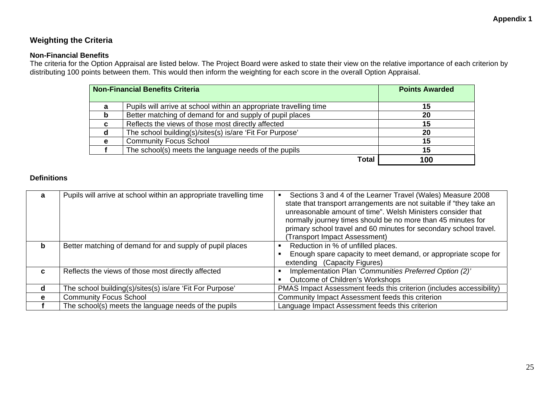## **Weighting the Criteria**

#### **Non-Financial Benefits**

The criteria for the Option Appraisal are listed below. The Project Board were asked to state their view on the relative importance of each criterion by distributing 100 points between them. This would then inform the weighting for each score in the overall Option Appraisal.

|    | <b>Non-Financial Benefits Criteria</b>                             | <b>Points Awarded</b> |
|----|--------------------------------------------------------------------|-----------------------|
| a  | Pupils will arrive at school within an appropriate travelling time | 15                    |
| b  | Better matching of demand for and supply of pupil places           | 20                    |
| C. | Reflects the views of those most directly affected                 | 15                    |
| α  | The school building(s)/sites(s) is/are 'Fit For Purpose'           | 20                    |
| e  | <b>Community Focus School</b>                                      | 15                    |
|    | The school(s) meets the language needs of the pupils               | 15                    |
|    | Total                                                              | 100                   |

#### **Definitions**

| a  | Pupils will arrive at school within an appropriate travelling time | Sections 3 and 4 of the Learner Travel (Wales) Measure 2008<br>state that transport arrangements are not suitable if "they take an<br>unreasonable amount of time". Welsh Ministers consider that<br>normally journey times should be no more than 45 minutes for<br>primary school travel and 60 minutes for secondary school travel.<br><b>Transport Impact Assessment)</b> |
|----|--------------------------------------------------------------------|-------------------------------------------------------------------------------------------------------------------------------------------------------------------------------------------------------------------------------------------------------------------------------------------------------------------------------------------------------------------------------|
| b  | Better matching of demand for and supply of pupil places           | Reduction in % of unfilled places.<br>Enough spare capacity to meet demand, or appropriate scope for<br>extending (Capacity Figures)                                                                                                                                                                                                                                          |
| C. | Reflects the views of those most directly affected                 | Implementation Plan 'Communities Preferred Option (2)'<br>Outcome of Children's Workshops                                                                                                                                                                                                                                                                                     |
| d  | The school building(s)/sites(s) is/are 'Fit For Purpose'           | PMAS Impact Assessment feeds this criterion (includes accessibility)                                                                                                                                                                                                                                                                                                          |
| e  | <b>Community Focus School</b>                                      | Community Impact Assessment feeds this criterion                                                                                                                                                                                                                                                                                                                              |
|    | The school(s) meets the language needs of the pupils               | Language Impact Assessment feeds this criterion                                                                                                                                                                                                                                                                                                                               |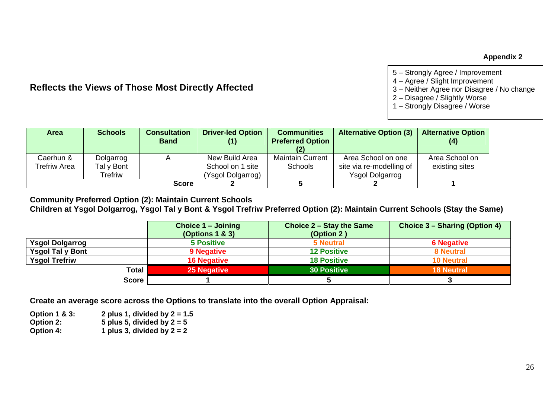#### **Appendix 2**

## **Reflects the Views of Those Most Directly Affected**

- 5 Strongly Agree / Improvement
- 4 Agree / Slight Improvement
- 3 Neither Agree nor Disagree / No change
- 2 Disagree / Slightly Worse
- 1 Strongly Disagree / Worse

| <b>Area</b>               | <b>Schools</b>                     | <b>Consultation</b><br><b>Band</b> | <b>Driver-led Option</b><br>(1)                         | <b>Communities</b><br><b>Preferred Option</b> | <b>Alternative Option (3)</b>                                            | <b>Alternative Option</b><br>(4) |
|---------------------------|------------------------------------|------------------------------------|---------------------------------------------------------|-----------------------------------------------|--------------------------------------------------------------------------|----------------------------------|
| Caerhun &<br>Trefriw Area | Dolgarrog<br>Tal y Bont<br>Trefriw |                                    | New Build Area<br>School on 1 site<br>(Ysgol Dolgarrog) | <b>Maintain Current</b><br><b>Schools</b>     | Area School on one<br>site via re-modelling of<br><b>Ysgol Dolgarrog</b> | Area School on<br>existing sites |
|                           |                                    | <b>Score</b>                       |                                                         |                                               |                                                                          |                                  |

**Community Preferred Option (2): Maintain Current Schools** 

**Children at Ysgol Dolgarrog, Ysgol Tal y Bont & Ysgol Trefriw Preferred Option (2): Maintain Current Schools (Stay the Same)** 

|                         | Choice 1 - Joining<br>(Options $1 & 3$ ) | Choice 2 – Stay the Same<br>(Option 2) | Choice 3 – Sharing (Option 4) |  |  |
|-------------------------|------------------------------------------|----------------------------------------|-------------------------------|--|--|
| <b>Ysgol Dolgarrog</b>  | <b>5 Positive</b>                        | <b>5 Neutral</b>                       | <b>6 Negative</b>             |  |  |
| <b>Ysgol Tal y Bont</b> | 9 Negative                               | <b>12 Positive</b>                     | <b>8 Neutral</b>              |  |  |
| <b>Ysgol Trefriw</b>    | <b>16 Negative</b>                       | <b>18 Positive</b>                     | <b>10 Neutral</b>             |  |  |
| <b>Total</b>            | <b>25 Negative</b>                       | <b>30 Positive</b>                     | <b>18 Neutral</b>             |  |  |
| <b>Score</b>            |                                          |                                        |                               |  |  |

**Create an average score across the Options to translate into the overall Option Appraisal:** 

**Option 1 & 3: 2 plus 1, divided by 2 = 1.5 Option 2:** 5 plus 5, divided by 2 = 5<br> **Option 4:** 1 plus 3, divided by 2 = 2 1 plus 3, divided by  $2 = 2$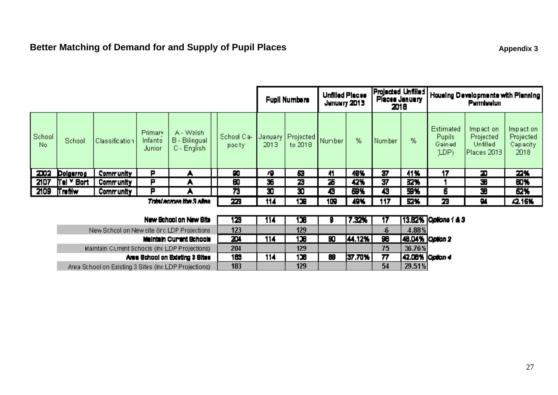## **Better Matching of Demand for and Supply of Pupil Places Appendix 3 Appendix 3 Appendix 3**

Area School on Existing 3 Sites (inclLDP Projections)

|                                                       |                |                  |                              |                                                   | <b>Unfilled Places</b><br><b>Fupil Numbers</b><br>Jenuery 2013 |                 | Projected Unfilled<br>Places January<br>2018 |        | Housing Developments with Planning<br><b>Perriesiun</b> |                 |        |                                                      |                                                   |                                             |
|-------------------------------------------------------|----------------|------------------|------------------------------|---------------------------------------------------|----------------------------------------------------------------|-----------------|----------------------------------------------|--------|---------------------------------------------------------|-----------------|--------|------------------------------------------------------|---------------------------------------------------|---------------------------------------------|
| School<br>No.                                         | School         | Classification   | Primary<br>Infants<br>Junior | A - Welshi<br><b>B</b> - Bilingual<br>C - English | School Ca-<br>pacty                                            | January<br>2013 | Projected<br>to 2018                         | Number | %                                                       | Number          | %      | <b>Estimated</b><br><b>Pupils</b><br>Gained<br>(LDP) | Impact on<br>Projected<br>Unfilled<br>Places 2013 | Impaction.<br>Projected<br>Capacity<br>2018 |
| 2002                                                  | Dolgerrog      | <b>Community</b> | P                            |                                                   | 90                                                             | 79              | e.                                           | 41     | 46%                                                     | 37              | 41%    | 17                                                   | Э                                                 | 22%                                         |
| 2107                                                  | Tel Y Bort     | Community        | Р                            |                                                   | 80                                                             | 35              | 23                                           | 25     | 42%                                                     | 37              | 32%    |                                                      | 36                                                | 80%                                         |
| 2109                                                  | <b>Trefilw</b> | Community        | Р                            |                                                   | 73                                                             | 30              | O                                            | Ð      | 69%                                                     | 43              | 59%    | 6                                                    | æ                                                 | 62%                                         |
| Total across the 3 sites.                             |                | 229              | 114                          | 136                                               | 109                                                            | 49%             | 117                                          | 52%    | 23                                                      | 94              | 42.15% |                                                      |                                                   |                                             |
|                                                       |                |                  |                              |                                                   |                                                                |                 |                                              |        |                                                         |                 |        |                                                      |                                                   |                                             |
| 129<br>New School on New Site                         |                |                  |                              |                                                   |                                                                | 114             | 136                                          |        | 7.32%                                                   | 17              |        | 13.82% Options ( & 3                                 |                                                   |                                             |
| 123<br>New Schcol on New site (inclLDP Projections)   |                |                  |                              |                                                   |                                                                | 129             |                                              |        | $\boldsymbol{\delta}$                                   | $4.88\%$        |        |                                                      |                                                   |                                             |
| 204<br>Maintain Current Bchoole                       |                |                  |                              |                                                   | 114                                                            | 136             | 90                                           | 44.12% | 98                                                      | 48.04% Option 2 |        |                                                      |                                                   |                                             |
| 204<br>Maintain Current Schools (Include Projections) |                |                  |                              |                                                   |                                                                | 129             |                                              |        | 75                                                      | 36.76%          |        |                                                      |                                                   |                                             |
| 189<br>Area School on Edsting 3 Sites                 |                |                  |                              |                                                   | 114                                                            | 136             | 69                                           | 37.70% | $\overline{\boldsymbol{n}}$                             | 42.08% Option 4 |        |                                                      |                                                   |                                             |

129

183

 $54$ 

 $29.51%$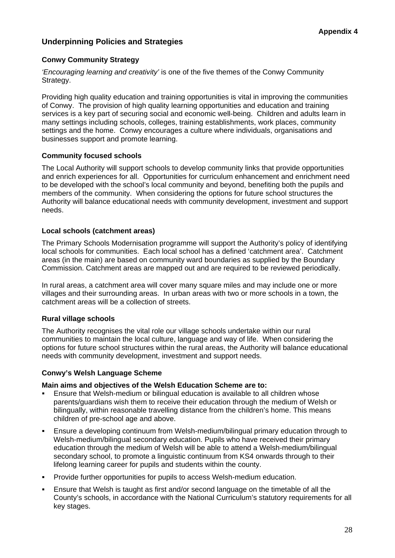## **Underpinning Policies and Strategies**

## **Conwy Community Strategy**

*'Encouraging learning and creativity'* is one of the five themes of the Conwy Community Strategy.

Providing high quality education and training opportunities is vital in improving the communities of Conwy. The provision of high quality learning opportunities and education and training services is a key part of securing social and economic well-being. Children and adults learn in many settings including schools, colleges, training establishments, work places, community settings and the home. Conwy encourages a culture where individuals, organisations and businesses support and promote learning.

## **Community focused schools**

The Local Authority will support schools to develop community links that provide opportunities and enrich experiences for all. Opportunities for curriculum enhancement and enrichment need to be developed with the school's local community and beyond, benefiting both the pupils and members of the community. When considering the options for future school structures the Authority will balance educational needs with community development, investment and support needs.

### **Local schools (catchment areas)**

The Primary Schools Modernisation programme will support the Authority's policy of identifying local schools for communities. Each local school has a defined 'catchment area'. Catchment areas (in the main) are based on community ward boundaries as supplied by the Boundary Commission. Catchment areas are mapped out and are required to be reviewed periodically.

In rural areas, a catchment area will cover many square miles and may include one or more villages and their surrounding areas. In urban areas with two or more schools in a town, the catchment areas will be a collection of streets.

## **Rural village schools**

The Authority recognises the vital role our village schools undertake within our rural communities to maintain the local culture, language and way of life. When considering the options for future school structures within the rural areas, the Authority will balance educational needs with community development, investment and support needs.

#### **Conwy's Welsh Language Scheme**

#### **Main aims and objectives of the Welsh Education Scheme are to:**

- Ensure that Welsh-medium or bilingual education is available to all children whose parents/guardians wish them to receive their education through the medium of Welsh or bilingually, within reasonable travelling distance from the children's home. This means children of pre-school age and above.
- Ensure a developing continuum from Welsh-medium/bilingual primary education through to Welsh-medium/bilingual secondary education. Pupils who have received their primary education through the medium of Welsh will be able to attend a Welsh-medium/bilingual secondary school, to promote a linguistic continuum from KS4 onwards through to their lifelong learning career for pupils and students within the county.
- Provide further opportunities for pupils to access Welsh-medium education.
- Ensure that Welsh is taught as first and/or second language on the timetable of all the County's schools, in accordance with the National Curriculum's statutory requirements for all key stages.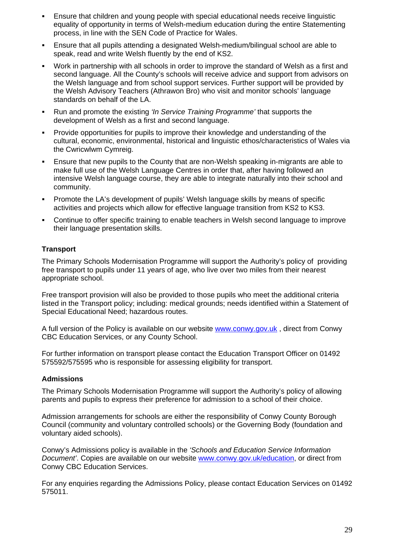- Ensure that children and young people with special educational needs receive linguistic equality of opportunity in terms of Welsh-medium education during the entire Statementing process, in line with the SEN Code of Practice for Wales.
- Ensure that all pupils attending a designated Welsh-medium/bilingual school are able to speak, read and write Welsh fluently by the end of KS2.
- Work in partnership with all schools in order to improve the standard of Welsh as a first and second language. All the County's schools will receive advice and support from advisors on the Welsh language and from school support services. Further support will be provided by the Welsh Advisory Teachers (Athrawon Bro) who visit and monitor schools' language standards on behalf of the LA.
- Run and promote the existing *'In Service Training Programme'* that supports the development of Welsh as a first and second language.
- **Provide opportunities for pupils to improve their knowledge and understanding of the** cultural, economic, environmental, historical and linguistic ethos/characteristics of Wales via the Cwricwlwm Cymreig.
- Ensure that new pupils to the County that are non-Welsh speaking in-migrants are able to make full use of the Welsh Language Centres in order that, after having followed an intensive Welsh language course, they are able to integrate naturally into their school and community.
- Promote the LA's development of pupils' Welsh language skills by means of specific activities and projects which allow for effective language transition from KS2 to KS3.
- Continue to offer specific training to enable teachers in Welsh second language to improve their language presentation skills.

## **Transport**

The Primary Schools Modernisation Programme will support the Authority's policy of providing free transport to pupils under 11 years of age, who live over two miles from their nearest appropriate school.

Free transport provision will also be provided to those pupils who meet the additional criteria listed in the Transport policy; including: medical grounds; needs identified within a Statement of Special Educational Need; hazardous routes.

A full version of the Policy is available on our website www.conwy.gov.uk, direct from Conwy CBC Education Services, or any County School.

For further information on transport please contact the Education Transport Officer on 01492 575592/575595 who is responsible for assessing eligibility for transport.

#### **Admissions**

The Primary Schools Modernisation Programme will support the Authority's policy of allowing parents and pupils to express their preference for admission to a school of their choice.

Admission arrangements for schools are either the responsibility of Conwy County Borough Council (community and voluntary controlled schools) or the Governing Body (foundation and voluntary aided schools).

Conwy's Admissions policy is available in the *'Schools and Education Service Information Document'*. Copies are available on our website [www.conwy.gov.uk/education](http://www.conwy.gov.uk/education), or direct from Conwy CBC Education Services.

For any enquiries regarding the Admissions Policy, please contact Education Services on 01492 575011.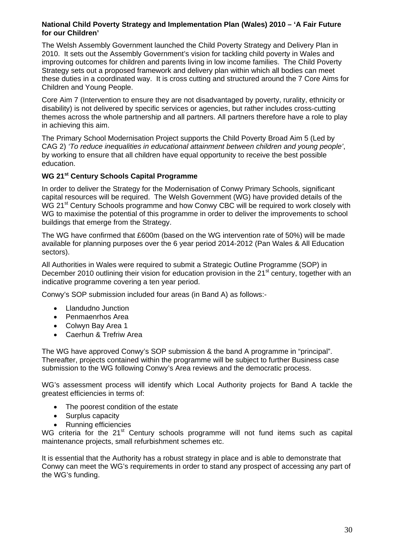#### **National Child Poverty Strategy and Implementation Plan (Wales) 2010 – 'A Fair Future for our Children'**

The Welsh Assembly Government launched the Child Poverty Strategy and Delivery Plan in 2010. It sets out the Assembly Government's vision for tackling child poverty in Wales and improving outcomes for children and parents living in low income families. The Child Poverty Strategy sets out a proposed framework and delivery plan within which all bodies can meet these duties in a coordinated way. It is cross cutting and structured around the 7 Core Aims for Children and Young People.

Core Aim 7 (Intervention to ensure they are not disadvantaged by poverty, rurality, ethnicity or disability) is not delivered by specific services or agencies, but rather includes cross-cutting themes across the whole partnership and all partners. All partners therefore have a role to play in achieving this aim.

The Primary School Modernisation Project supports the Child Poverty Broad Aim 5 (Led by CAG 2) *'To reduce inequalities in educational attainment between children and young people'*, by working to ensure that all children have equal opportunity to receive the best possible education.

### **WG 21st Century Schools Capital Programme**

In order to deliver the Strategy for the Modernisation of Conwy Primary Schools, significant capital resources will be required. The Welsh Government (WG) have provided details of the WG 21<sup>st</sup> Century Schools programme and how Conwy CBC will be required to work closely with WG to maximise the potential of this programme in order to deliver the improvements to school buildings that emerge from the Strategy.

The WG have confirmed that £600m (based on the WG intervention rate of 50%) will be made available for planning purposes over the 6 year period 2014-2012 (Pan Wales & All Education sectors).

All Authorities in Wales were required to submit a Strategic Outline Programme (SOP) in December 2010 outlining their vision for education provision in the 21<sup>st</sup> century, together with an indicative programme covering a ten year period.

Conwy's SOP submission included four areas (in Band A) as follows:-

- Llandudno Junction
- Penmaenrhos Area
- Colwyn Bay Area 1
- Caerhun & Trefriw Area

The WG have approved Conwy's SOP submission & the band A programme in "principal". Thereafter, projects contained within the programme will be subject to further Business case submission to the WG following Conwy's Area reviews and the democratic process.

WG's assessment process will identify which Local Authority projects for Band A tackle the greatest efficiencies in terms of:

- The poorest condition of the estate
- Surplus capacity
- Running efficiencies

WG criteria for the 21<sup>st</sup> Century schools programme will not fund items such as capital maintenance projects, small refurbishment schemes etc.

It is essential that the Authority has a robust strategy in place and is able to demonstrate that Conwy can meet the WG's requirements in order to stand any prospect of accessing any part of the WG's funding.